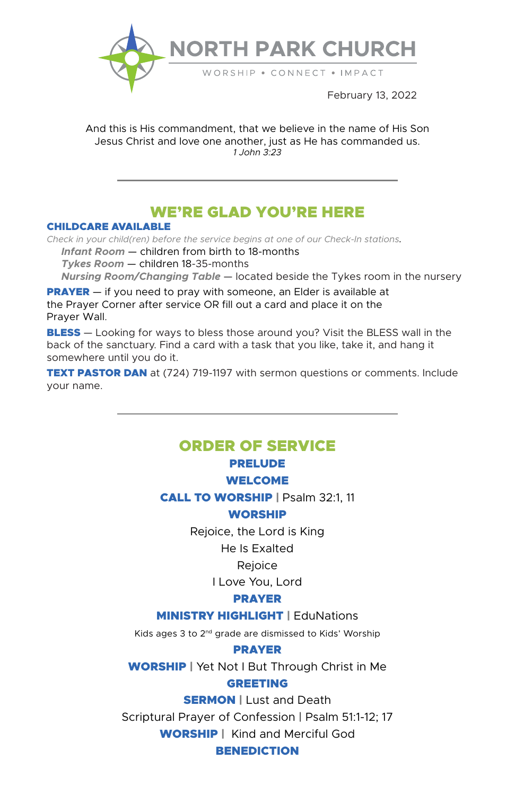

February 13, 2022

And this is His commandment, that we believe in the name of His Son Jesus Christ and love one another, just as He has commanded us. *1 John 3:23*

# WE'RE GLAD YOU'RE HERE

### CHILDCARE AVAILABLE

*Check in your child(ren) before the service begins at one of our Check-In stations.*

 *Infant Room* — children from birth to 18-months

 *Tykes Room* — children 18-35-months

 *Nursing Room/Changing Table* — located beside the Tykes room in the nursery

**PRAYER** — if you need to pray with someone, an Elder is available at the Prayer Corner after service OR fill out a card and place it on the Prayer Wall.

**BLESS** — Looking for ways to bless those around you? Visit the BLESS wall in the back of the sanctuary. Find a card with a task that you like, take it, and hang it somewhere until you do it.

**TEXT PASTOR DAN** at (724) 719-1197 with sermon questions or comments. Include your name.

# ORDER OF SERVICE

### PRELUDE

#### WELCOME

CALL TO WORSHIP | Psalm 32:1, 11

### **WORSHIP**

Rejoice, the Lord is King

# He Is Exalted

### Rejoice

I Love You, Lord

### PRAYER

### MINISTRY HIGHLIGHT | EduNations

Kids ages 3 to 2nd grade are dismissed to Kids' Worship

### PRAYER

WORSHIP | Yet Not I But Through Christ in Me

### GREETING

**SERMON** I Lust and Death

Scriptural Prayer of Confession | Psalm 51:1-12; 17

WORSHIP | Kind and Merciful God

### **BENEDICTION**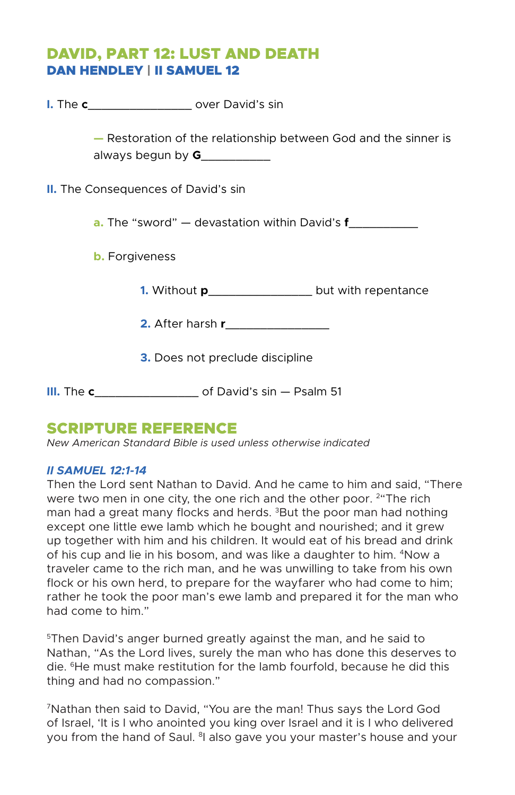# DAVID, PART 12: LUST AND DEATH DAN HENDLEY | II SAMUEL 12

**I.** The **c** over David's sin

**—** Restoration of the relationship between God and the sinner is always begun by **G**\_\_\_\_\_\_\_\_\_\_

**II.** The Consequences of David's sin

**a.** The "sword" — devastation within David's **f**\_\_\_\_\_\_\_\_\_\_

**b.** Forgiveness

 **1.** Without **p**\_\_\_\_\_\_\_\_\_\_\_\_\_\_\_ but with repentance

 **2.** After harsh **r**\_\_\_\_\_\_\_\_\_\_\_\_\_\_\_

 **3.** Does not preclude discipline

**III.** The **c**\_\_\_\_\_\_\_\_\_\_\_\_\_\_\_ of David's sin — Psalm 51

# SCRIPTURE REFERENCE

*New American Standard Bible is used unless otherwise indicated* 

### *II SAMUEL 12:1-14*

Then the Lord sent Nathan to David. And he came to him and said, "There were two men in one city, the one rich and the other poor. <sup>2</sup> The rich man had a great many flocks and herds. <sup>3</sup>But the poor man had nothing except one little ewe lamb which he bought and nourished; and it grew up together with him and his children. It would eat of his bread and drink of his cup and lie in his bosom, and was like a daughter to him. 4Now a traveler came to the rich man, and he was unwilling to take from his own flock or his own herd, to prepare for the wayfarer who had come to him; rather he took the poor man's ewe lamb and prepared it for the man who had come to him."

5Then David's anger burned greatly against the man, and he said to Nathan, "As the Lord lives, surely the man who has done this deserves to die. 6He must make restitution for the lamb fourfold, because he did this thing and had no compassion."

7Nathan then said to David, "You are the man! Thus says the Lord God of Israel, 'It is I who anointed you king over Israel and it is I who delivered you from the hand of Saul. <sup>8</sup>I also gave you your master's house and your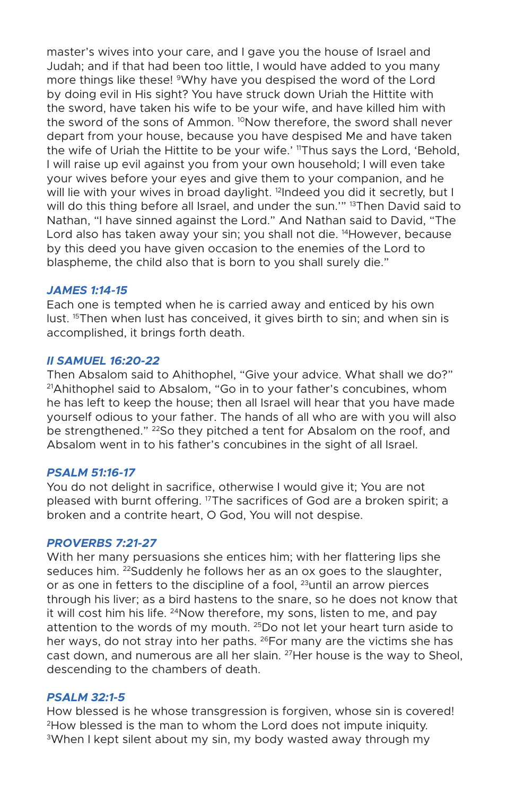master's wives into your care, and I gave you the house of Israel and Judah; and if that had been too little, I would have added to you many more things like these! 9Why have you despised the word of the Lord by doing evil in His sight? You have struck down Uriah the Hittite with the sword, have taken his wife to be your wife, and have killed him with the sword of the sons of Ammon. <sup>10</sup>Now therefore, the sword shall never depart from your house, because you have despised Me and have taken the wife of Uriah the Hittite to be your wife.' "Thus says the Lord, 'Behold, I will raise up evil against you from your own household; I will even take your wives before your eyes and give them to your companion, and he will lie with your wives in broad daylight. <sup>12</sup>Indeed you did it secretly, but I will do this thing before all Israel, and under the sun." <sup>13</sup>Then David said to Nathan, "I have sinned against the Lord." And Nathan said to David, "The Lord also has taken away your sin; you shall not die. <sup>14</sup>However, because by this deed you have given occasion to the enemies of the Lord to blaspheme, the child also that is born to you shall surely die."

### *JAMES 1:14-15*

Each one is tempted when he is carried away and enticed by his own lust. 15Then when lust has conceived, it gives birth to sin; and when sin is accomplished, it brings forth death.

#### *II SAMUEL 16:20-22*

Then Absalom said to Ahithophel, "Give your advice. What shall we do?"  $21$ Ahithophel said to Absalom, "Go in to your father's concubines, whom he has left to keep the house; then all Israel will hear that you have made yourself odious to your father. The hands of all who are with you will also be strengthened." <sup>22</sup>So they pitched a tent for Absalom on the roof, and Absalom went in to his father's concubines in the sight of all Israel.

#### *PSALM 51:16-17*

You do not delight in sacrifice, otherwise I would give it; You are not pleased with burnt offering. 17The sacrifices of God are a broken spirit; a broken and a contrite heart, O God, You will not despise.

#### *PROVERBS 7:21-27*

With her many persuasions she entices him; with her flattering lips she seduces him. <sup>22</sup>Suddenly he follows her as an ox goes to the slaughter, or as one in fetters to the discipline of a fool,  $^{23}$ until an arrow pierces through his liver; as a bird hastens to the snare, so he does not know that it will cost him his life. <sup>24</sup>Now therefore, my sons, listen to me, and pay attention to the words of my mouth. 25Do not let your heart turn aside to her ways, do not stray into her paths. <sup>26</sup> For many are the victims she has cast down, and numerous are all her slain.  $27$ Her house is the way to Sheol, descending to the chambers of death.

#### *PSALM 32:1-5*

How blessed is he whose transgression is forgiven, whose sin is covered! 2How blessed is the man to whom the Lord does not impute iniquity. 3When I kept silent about my sin, my body wasted away through my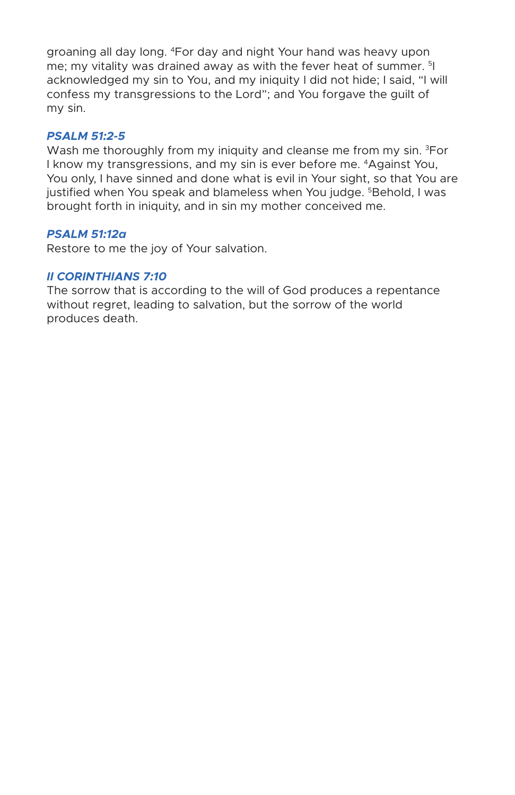groaning all day long. 4For day and night Your hand was heavy upon me; my vitality was drained away as with the fever heat of summer. 5I acknowledged my sin to You, and my iniquity I did not hide; I said, "I will confess my transgressions to the Lord"; and You forgave the guilt of my sin.

## *PSALM 51:2-5*

Wash me thoroughly from my iniquity and cleanse me from my sin. <sup>3</sup>For I know my transgressions, and my sin is ever before me. 4Against You, You only, I have sinned and done what is evil in Your sight, so that You are justified when You speak and blameless when You judge. <sup>5</sup>Behold, I was brought forth in iniquity, and in sin my mother conceived me.

# *PSALM 51:12a*

Restore to me the joy of Your salvation.

### *II CORINTHIANS 7:10*

The sorrow that is according to the will of God produces a repentance without regret, leading to salvation, but the sorrow of the world produces death.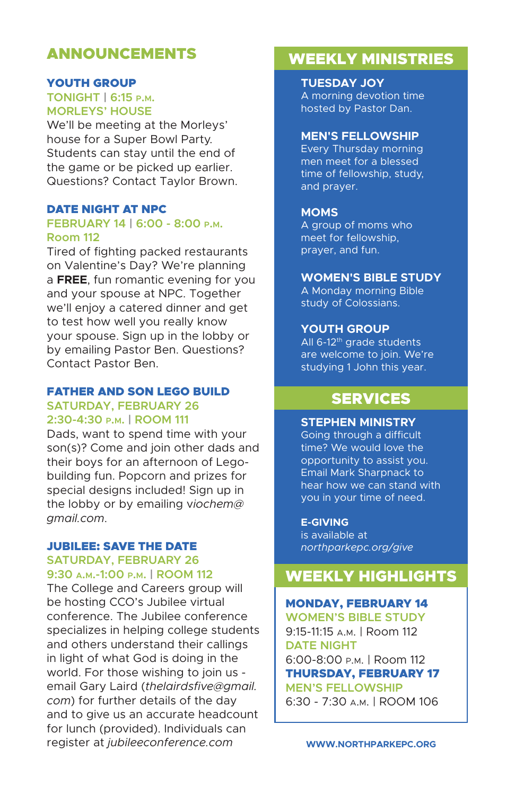# ANNOUNCEMENTS

#### YOUTH GROUP

**TONIGHT | 6:15 p.m. MORLEYS' HOUSE**

We'll be meeting at the Morleys' house for a Super Bowl Party. Students can stay until the end of the game or be picked up earlier. Questions? Contact Taylor Brown.

### DATE NIGHT AT NPC

# **FEBRUARY 14 | 6:00 - 8:00 p.m. Room 112**

Tired of fighting packed restaurants on Valentine's Day? We're planning a **FREE**, fun romantic evening for you and your spouse at NPC. Together we'll enjoy a catered dinner and get to test how well you really know your spouse. Sign up in the lobby or by emailing Pastor Ben. Questions? Contact Pastor Ben.

# FATHER AND SON LEGO BUILD

### **SATURDAY, FEBRUARY 26 2:30-4:30 p.m. | ROOM 111**

Dads, want to spend time with your son(s)? Come and join other dads and their boys for an afternoon of Legobuilding fun. Popcorn and prizes for special designs included! Sign up in the lobby or by emailing v*iochem@ gmail.com*.

#### JUBILEE: SAVE THE DATE **SATURDAY, FEBRUARY 26 9:30 a.m.-1:00 p.m. | ROOM 112**

The College and Careers group will be hosting CCO's Jubilee virtual conference. The Jubilee conference specializes in helping college students and others understand their callings in light of what God is doing in the world. For those wishing to join us email Gary Laird (*thelairdsfive@gmail. com*) for further details of the day and to give us an accurate headcount for lunch (provided). Individuals can register at *jubileeconference.com*

# WEEKLY MINISTRIES

**TUESDAY JOY** A morning devotion time hosted by Pastor Dan.

#### **MEN'S FELLOWSHIP**

Every Thursday morning men meet for a blessed time of fellowship, study, and prayer.

#### **MOMS**

A group of moms who meet for fellowship, prayer, and fun.

#### **WOMEN'S BIBLE STUDY**

A Monday morning Bible study of Colossians.

#### **YOUTH GROUP**

All 6-12<sup>th</sup> grade students are welcome to join. We're studying 1 John this year.

# SERVICES

### **STEPHEN MINISTRY**

Going through a difficult time? We would love the opportunity to assist you. Email Mark Sharpnack to hear how we can stand with you in your time of need.

#### **E-GIVING**

is available at *northparkepc.org/give*

# WEEKLY HIGHLIGHTS

# MONDAY, FEBRUARY 14

**WOMEN'S BIBLE STUDY** 9:15-11:15 a.m. | Room 112 **DATE NIGHT** 6:00-8:00 p.m. | Room 112 THURSDAY, FEBRUARY 17 **MEN'S FELLOWSHIP** 6:30 - 7:30 a.m. | ROOM 106